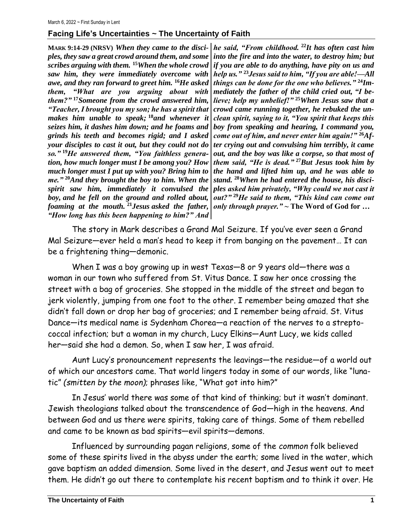## **Facing Life's Uncertainties ~ The Uncertainty of Faith**

*ples, they saw a great crowd around them, and some scribes arguing with them.* **<sup>15</sup>***When the whole crowd saw him, they were immediately overcome with awe, and they ran forward to greet him.* **<sup>16</sup>***He asked them, "What are you arguing about with them?"* **<sup>17</sup>***Someone from the crowd answered him, "Teacher, I brought you my son; he has a spirit that makes him unable to speak;* **<sup>18</sup>***and whenever it seizes him, it dashes him down; and he foams and grinds his teeth and becomes rigid; and I asked your disciples to cast it out, but they could not do so."* **<sup>19</sup>***He answered them, "You faithless generation, how much longer must I be among you? How much longer must I put up with you? Bring him to me."* **<sup>20</sup>***And they brought the boy to him. When the spirit saw him, immediately it convulsed the boy, and he fell on the ground and rolled about, foaming at the mouth.* **<sup>21</sup>***Jesus asked the father, "How long has this been happening to him?" And* 

**MARK 9:14-29 (NRSV)** *When they came to the disci-he said, "From childhood.* **<sup>22</sup>***It has often cast him into the fire and into the water, to destroy him; but if you are able to do anything, have pity on us and help us."* **<sup>23</sup>***Jesus said to him, "If you are able!—All things can be done for the one who believes."* **<sup>24</sup>***Immediately the father of the child cried out, "I believe; help my unbelief!"* **<sup>25</sup>***When Jesus saw that a crowd came running together, he rebuked the unclean spirit, saying to it, "You spirit that keeps this boy from speaking and hearing, I command you, come out of him, and never enter him again!"* **<sup>26</sup>***After crying out and convulsing him terribly, it came out, and the boy was like a corpse, so that most of them said, "He is dead."* **<sup>27</sup>***But Jesus took him by the hand and lifted him up, and he was able to stand.* **<sup>28</sup>***When he had entered the house, his disciples asked him privately, "Why could we not cast it out?"* **<sup>29</sup>***He said to them, "This kind can come out only through prayer."* **~ The Word of God for …**

The story in Mark describes a Grand Mal Seizure. If you've ever seen a Grand Mal Seizure—ever held a man's head to keep it from banging on the pavement… It can be a frightening thing—demonic.

When I was a boy growing up in west Texas—8 or 9 years old—there was a woman in our town who suffered from St. Vitus Dance. I saw her once crossing the street with a bag of groceries. She stopped in the middle of the street and began to jerk violently, jumping from one foot to the other. I remember being amazed that she didn't fall down or drop her bag of groceries; and I remember being afraid. St. Vitus Dance—its medical name is Sydenham Chorea—a reaction of the nerves to a streptococcal infection; but a woman in my church, Lucy Elkins—Aunt Lucy, we kids called her—said she had a demon. So, when I saw her, I was afraid.

Aunt Lucy's pronouncement represents the leavings—the residue—of a world out of which our ancestors came. That world lingers today in some of our words, like "lunatic" *(smitten by the moon)*; phrases like, "What got into him?"

In Jesus' world there was some of that kind of thinking; but it wasn't dominant. Jewish theologians talked about the transcendence of God—high in the heavens. And between God and us there were spirits, taking care of things. Some of them rebelled and came to be known as bad spirits—evil spirits—demons.

Influenced by surrounding pagan religions, some of the *common* folk believed some of these spirits lived in the abyss under the earth; some lived in the water, which gave baptism an added dimension. Some lived in the desert, and Jesus went out to meet them. He didn't go out there to contemplate his recent baptism and to think it over. He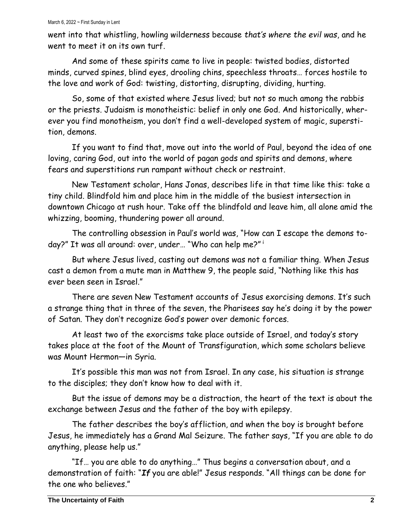went into that whistling, howling wilderness because *that's where the evil was*, and he went to meet it on its own turf

And some of these spirits came to live in people: twisted bodies, distorted minds, curved spines, blind eyes, drooling chins, speechless throats… forces hostile to the love and work of God: twisting, distorting, disrupting, dividing, hurting.

So, some of that existed where Jesus lived; but not so much among the rabbis or the priests. Judaism is monotheistic: belief in only one God. And historically, wherever you find monotheism, you don't find a well-developed system of magic, superstition, demons.

If you want to find that, move out into the world of Paul, beyond the idea of one loving, caring God, out into the world of pagan gods and spirits and demons, where fears and superstitions run rampant without check or restraint.

New Testament scholar, Hans Jonas, describes life in that time like this: take a tiny child. Blindfold him and place him in the middle of the busiest intersection in downtown Chicago at rush hour. Take off the blindfold and leave him, all alone amid the whizzing, booming, thundering power all around.

The controlling obsession in Paul's world was, "How can I escape the demons today?" It was all around: over, under… "Who can help me?" <sup>i</sup>

But where Jesus lived, casting out demons was not a familiar thing. When Jesus cast a demon from a mute man in Matthew 9, the people said, "Nothing like this has ever been seen in Israel."

There are seven New Testament accounts of Jesus exorcising demons. It's such a strange thing that in three of the seven, the Pharisees say he's doing it by the power of Satan. They don't recognize God's power over demonic forces.

At least two of the exorcisms take place outside of Israel, and today's story takes place at the foot of the Mount of Transfiguration, which some scholars believe was Mount Hermon—in Syria.

It's possible this man was not from Israel. In any case, his situation is strange to the disciples; they don't know how to deal with it.

But the issue of demons may be a distraction, the heart of the text is about the exchange between Jesus and the father of the boy with epilepsy.

The father describes the boy's affliction, and when the boy is brought before Jesus, he immediately has a Grand Mal Seizure. The father says, "If you are able to do anything, please help us."

"If… you are able to do anything…" Thus begins a conversation about, and a demonstration of faith: "*If* you are able!" Jesus responds. "All things can be done for the one who believes."